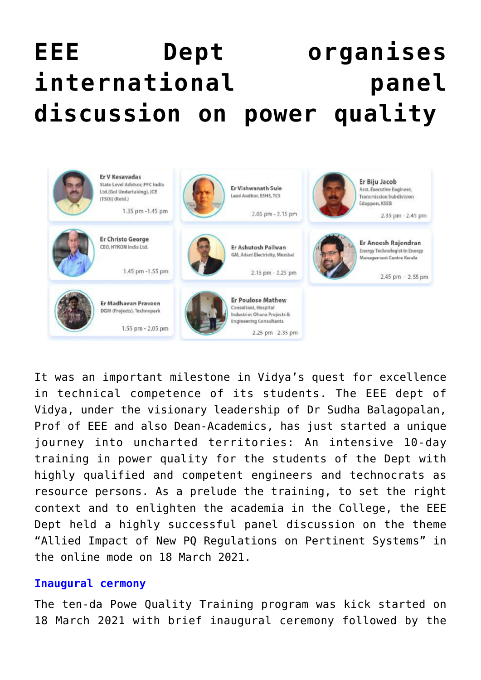# **[EEE Dept organises](https://news.vidyaacademy.ac.in/2021/03/25/panel-discussion-on-allied-impact-of-new-pq-regulations-on-pertinent-systems/) [international panel](https://news.vidyaacademy.ac.in/2021/03/25/panel-discussion-on-allied-impact-of-new-pq-regulations-on-pertinent-systems/) [discussion on power quality](https://news.vidyaacademy.ac.in/2021/03/25/panel-discussion-on-allied-impact-of-new-pq-regulations-on-pertinent-systems/)**



It was an important milestone in Vidya's quest for excellence in technical competence of its students. The EEE dept of Vidya, under the visionary leadership of Dr Sudha Balagopalan, Prof of EEE and also Dean-Academics, has just started a unique journey into uncharted territories: An intensive 10-day training in power quality for the students of the Dept with highly qualified and competent engineers and technocrats as resource persons. As a prelude the training, to set the right context and to enlighten the academia in the College, the EEE Dept held a highly successful panel discussion on the theme "Allied Impact of New PQ Regulations on Pertinent Systems" in the online mode on 18 March 2021.

#### **Inaugural cermony**

The ten-da Powe Quality Training program was kick started on 18 March 2021 with brief inaugural ceremony followed by the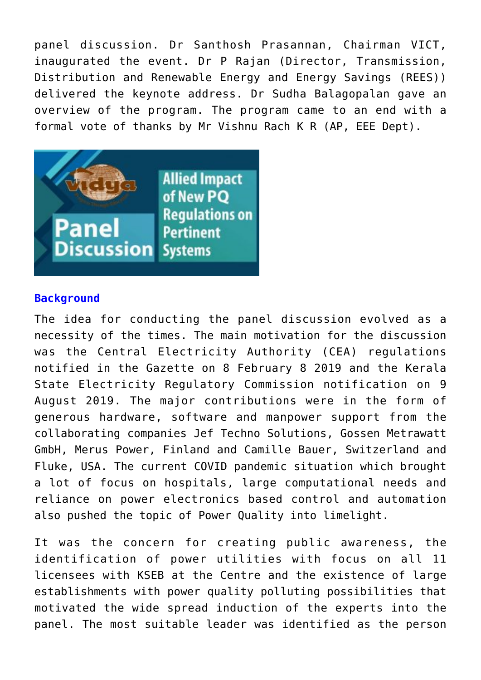panel discussion. Dr Santhosh Prasannan, Chairman VICT, inaugurated the event. Dr P Rajan (Director, Transmission, Distribution and Renewable Energy and Energy Savings (REES)) delivered the keynote address. Dr Sudha Balagopalan gave an overview of the program. The program came to an end with a formal vote of thanks by Mr Vishnu Rach K R (AP, EEE Dept).



### **Background**

The idea for conducting the panel discussion evolved as a necessity of the times. The main motivation for the discussion was the Central Electricity Authority (CEA) regulations notified in the Gazette on 8 February 8 2019 and the Kerala State Electricity Regulatory Commission notification on 9 August 2019. The major contributions were in the form of generous hardware, software and manpower support from the collaborating companies Jef Techno Solutions, Gossen Metrawatt GmbH, Merus Power, Finland and Camille Bauer, Switzerland and Fluke, USA. The current COVID pandemic situation which brought a lot of focus on hospitals, large computational needs and reliance on power electronics based control and automation also pushed the topic of Power Quality into limelight.

It was the concern for creating public awareness, the identification of power utilities with focus on all 11 licensees with KSEB at the Centre and the existence of large establishments with power quality polluting possibilities that motivated the wide spread induction of the experts into the panel. The most suitable leader was identified as the person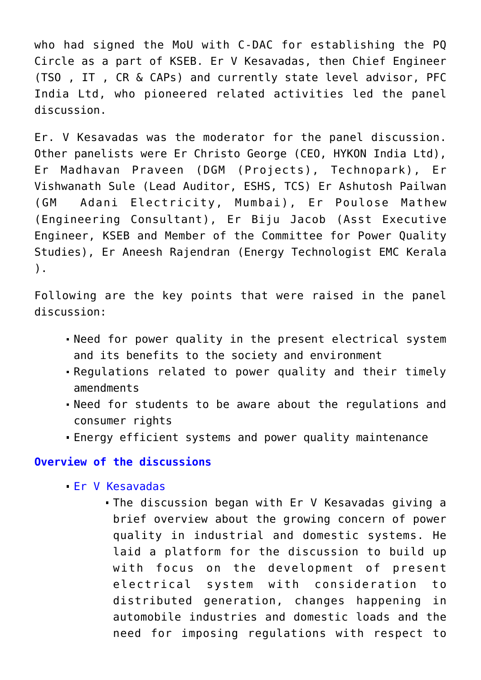who had signed the MoU with C-DAC for establishing the PQ Circle as a part of KSEB. Er V Kesavadas, then Chief Engineer (TSO , IT , CR & CAPs) and currently state level advisor, PFC India Ltd, who pioneered related activities led the panel discussion.

Er. V Kesavadas was the moderator for the panel discussion. Other panelists were Er Christo George (CEO, HYKON India Ltd), Er Madhavan Praveen (DGM (Projects), Technopark), Er Vishwanath Sule (Lead Auditor, ESHS, TCS) Er Ashutosh Pailwan (GM Adani Electricity, Mumbai), Er Poulose Mathew (Engineering Consultant), Er Biju Jacob (Asst Executive Engineer, KSEB and Member of the Committee for Power Quality Studies), Er Aneesh Rajendran (Energy Technologist EMC Kerala ).

Following are the key points that were raised in the panel discussion:

- Need for power quality in the present electrical system and its benefits to the society and environment
- Regulations related to power quality and their timely amendments
- Need for students to be aware about the regulations and consumer rights
- Energy efficient systems and power quality maintenance

#### **Overview of the discussions**

- Er V Kesavadas
	- The discussion began with Er V Kesavadas giving a brief overview about the growing concern of power quality in industrial and domestic systems. He laid a platform for the discussion to build up with focus on the development of present electrical system with consideration to distributed generation, changes happening in automobile industries and domestic loads and the need for imposing regulations with respect to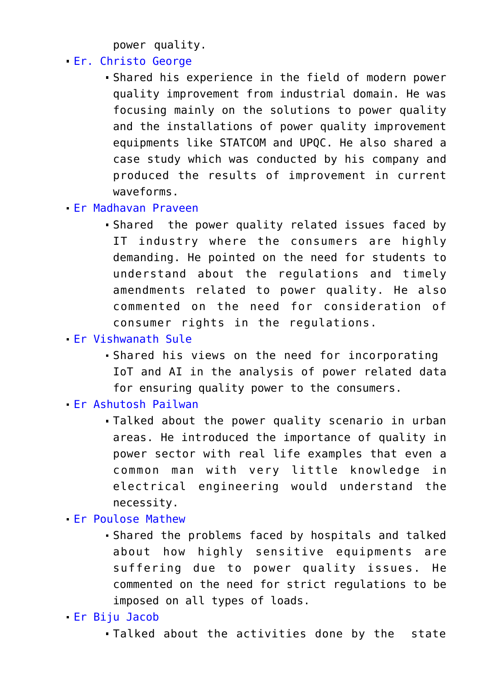power quality.

- Er. Christo George
	- Shared his experience in the field of modern power quality improvement from industrial domain. He was focusing mainly on the solutions to power quality and the installations of power quality improvement equipments like STATCOM and UPQC. He also shared a case study which was conducted by his company and produced the results of improvement in current waveforms.
- Er Madhavan Praveen
	- Shared the power quality related issues faced by IT industry where the consumers are highly demanding. He pointed on the need for students to understand about the regulations and timely amendments related to power quality. He also commented on the need for consideration of consumer rights in the regulations.
- Er Vishwanath Sule
	- Shared his views on the need for incorporating IoT and AI in the analysis of power related data for ensuring quality power to the consumers.
- Er Ashutosh Pailwan
	- Talked about the power quality scenario in urban areas. He introduced the importance of quality in power sector with real life examples that even a common man with very little knowledge in electrical engineering would understand the necessity.
- Er Poulose Mathew
	- Shared the problems faced by hospitals and talked about how highly sensitive equipments are suffering due to power quality issues. He commented on the need for strict regulations to be imposed on all types of loads.
- Er Biju Jacob
	- Talked about the activities done by the state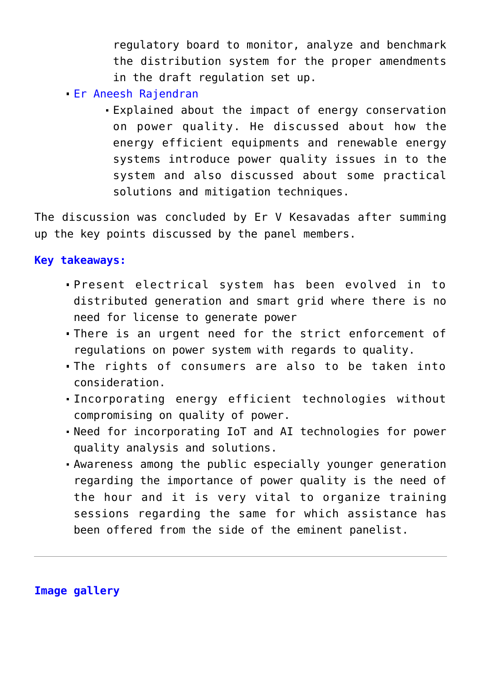regulatory board to monitor, analyze and benchmark the distribution system for the proper amendments in the draft regulation set up.

- Er Aneesh Rajendran
	- Explained about the impact of energy conservation on power quality. He discussed about how the energy efficient equipments and renewable energy systems introduce power quality issues in to the system and also discussed about some practical solutions and mitigation techniques.

The discussion was concluded by Er V Kesavadas after summing up the key points discussed by the panel members.

## **Key takeaways:**

- Present electrical system has been evolved in to distributed generation and smart grid where there is no need for license to generate power
- There is an urgent need for the strict enforcement of regulations on power system with regards to quality.
- The rights of consumers are also to be taken into consideration.
- Incorporating energy efficient technologies without compromising on quality of power.
- Need for incorporating IoT and AI technologies for power quality analysis and solutions.
- Awareness among the public especially younger generation regarding the importance of power quality is the need of the hour and it is very vital to organize training sessions regarding the same for which assistance has been offered from the side of the eminent panelist.

**Image gallery**